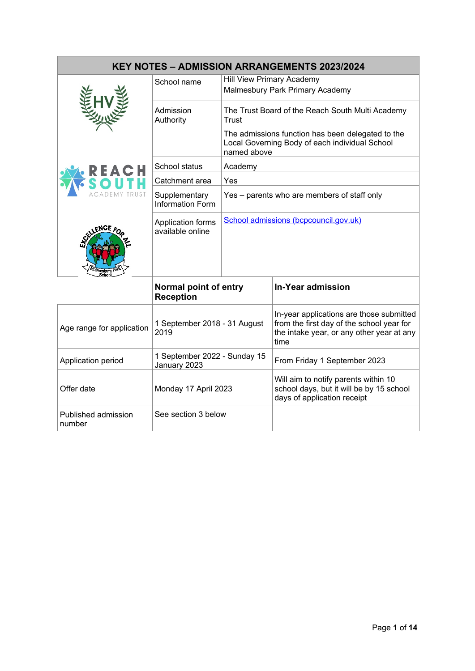| <b>KEY NOTES - ADMISSION ARRANGEMENTS 2023/2024</b> |                                              |                                                                                                                    |                                                                                                                                            |  |  |  |
|-----------------------------------------------------|----------------------------------------------|--------------------------------------------------------------------------------------------------------------------|--------------------------------------------------------------------------------------------------------------------------------------------|--|--|--|
|                                                     | School name                                  | <b>Hill View Primary Academy</b><br>Malmesbury Park Primary Academy                                                |                                                                                                                                            |  |  |  |
|                                                     | Admission<br>Authority                       | The Trust Board of the Reach South Multi Academy<br>Trust                                                          |                                                                                                                                            |  |  |  |
|                                                     |                                              | The admissions function has been delegated to the<br>Local Governing Body of each individual School<br>named above |                                                                                                                                            |  |  |  |
|                                                     | School status                                | Academy                                                                                                            |                                                                                                                                            |  |  |  |
|                                                     | Catchment area                               | Yes                                                                                                                |                                                                                                                                            |  |  |  |
|                                                     | Supplementary<br><b>Information Form</b>     | Yes – parents who are members of staff only                                                                        |                                                                                                                                            |  |  |  |
| mesbury                                             | Application forms<br>available online        |                                                                                                                    | School admissions (bcpcouncil.gov.uk)                                                                                                      |  |  |  |
|                                                     | Normal point of entry<br><b>Reception</b>    |                                                                                                                    | <b>In-Year admission</b>                                                                                                                   |  |  |  |
| Age range for application                           | 1 September 2018 - 31 August<br>2019         |                                                                                                                    | In-year applications are those submitted<br>from the first day of the school year for<br>the intake year, or any other year at any<br>time |  |  |  |
| Application period                                  | 1 September 2022 - Sunday 15<br>January 2023 |                                                                                                                    | From Friday 1 September 2023                                                                                                               |  |  |  |

Offer date Monday 17 April 2023

See section 3 below

Published admission

number

Will aim to notify parents within 10 school days, but it will be by 15 school

days of application receipt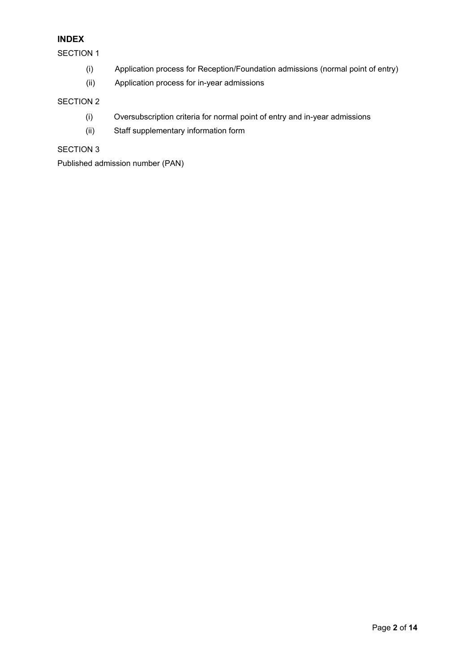# **INDEX**

SECTION 1

- (i) Application process for Reception/Foundation admissions (normal point of entry)
- (ii) Application process for in-year admissions

# SECTION 2

- (i) Oversubscription criteria for normal point of entry and in-year admissions
- (ii) Staff supplementary information form

# SECTION 3

Published admission number (PAN)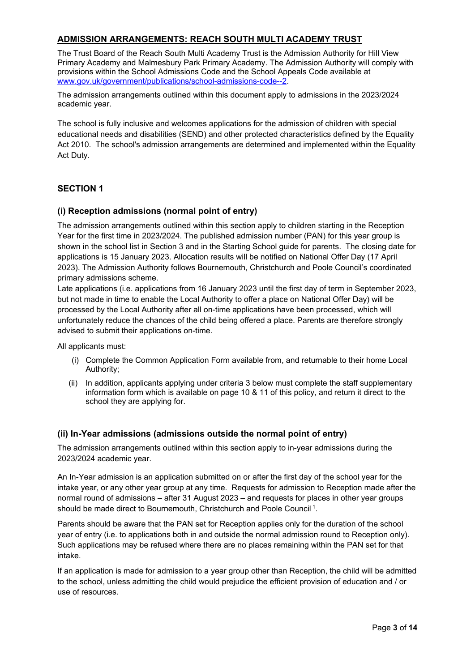# **ADMISSION ARRANGEMENTS: REACH SOUTH MULTI ACADEMY TRUST**

The Trust Board of the Reach South Multi Academy Trust is the Admission Authority for Hill View Primary Academy and Malmesbury Park Primary Academy. The Admission Authority will comply with provisions within the School Admissions Code and the School Appeals Code available at [www.gov.uk/government/publications/school-admissions-code--2.](http://www.gov.uk/government/publications/school-admissions-code--2)

The admission arrangements outlined within this document apply to admissions in the 2023/2024 academic year.

The school is fully inclusive and welcomes applications for the admission of children with special educational needs and disabilities (SEND) and other protected characteristics defined by the Equality Act 2010. The school's admission arrangements are determined and implemented within the Equality Act Duty.

## **SECTION 1**

#### **(i) Reception admissions (normal point of entry)**

The admission arrangements outlined within this section apply to children starting in the Reception Year for the first time in 2023/2024. The published admission number (PAN) for this year group is shown in the school list in Section 3 and in the Starting School guide for parents. The closing date for applications is 15 January 2023. Allocation results will be notified on National Offer Day (17 April 2023). The Admission Authority follows Bournemouth, Christchurch and Poole Council's coordinated primary admissions scheme.

Late applications (i.e. applications from 16 January 2023 until the first day of term in September 2023, but not made in time to enable the Local Authority to offer a place on National Offer Day) will be processed by the Local Authority after all on-time applications have been processed, which will unfortunately reduce the chances of the child being offered a place. Parents are therefore strongly advised to submit their applications on-time.

All applicants must:

- (i) Complete the Common Application Form available from, and returnable to their home Local Authority;
- (ii) In addition, applicants applying under criteria 3 below must complete the staff supplementary information form which is available on page 10 & 11 of this policy, and return it direct to the school they are applying for.

#### **(ii) In-Year admissions (admissions outside the normal point of entry)**

The admission arrangements outlined within this section apply to in-year admissions during the 2023/2024 academic year.

An In-Year admission is an application submitted on or after the first day of the school year for the intake year, or any other year group at any time. Requests for admission to Reception made after the normal round of admissions – after 31 August 2023 – and requests for places in other year groups should be made direct to Bournemouth, Christchurch and Poole Council 1.

Parents should be aware that the PAN set for Reception applies only for the duration of the school year of entry (i.e. to applications both in and outside the normal admission round to Reception only). Such applications may be refused where there are no places remaining within the PAN set for that intake.

If an application is made for admission to a year group other than Reception, the child will be admitted to the school, unless admitting the child would prejudice the efficient provision of education and / or use of resources.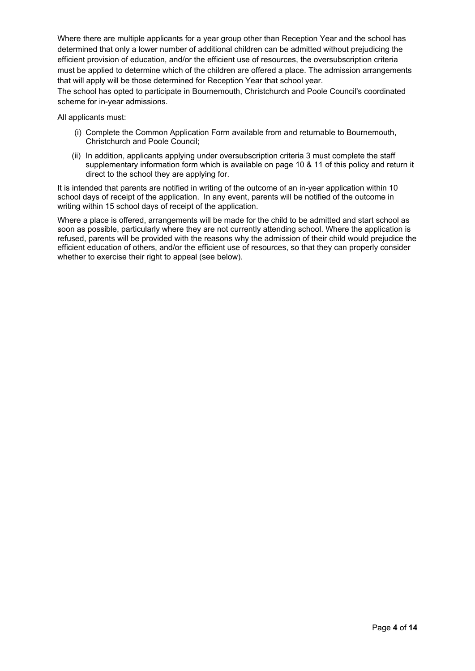Where there are multiple applicants for a year group other than Reception Year and the school has determined that only a lower number of additional children can be admitted without prejudicing the efficient provision of education, and/or the efficient use of resources, the oversubscription criteria must be applied to determine which of the children are offered a place. The admission arrangements that will apply will be those determined for Reception Year that school year.

The school has opted to participate in Bournemouth, Christchurch and Poole Council's coordinated scheme for in-year admissions.

All applicants must:

- (i) Complete the Common Application Form available from and returnable to Bournemouth, Christchurch and Poole Council;
- (ii) In addition, applicants applying under oversubscription criteria 3 must complete the staff supplementary information form which is available on page 10 & 11 of this policy and return it direct to the school they are applying for.

It is intended that parents are notified in writing of the outcome of an in-year application within 10 school days of receipt of the application. In any event, parents will be notified of the outcome in writing within 15 school days of receipt of the application.

Where a place is offered, arrangements will be made for the child to be admitted and start school as soon as possible, particularly where they are not currently attending school. Where the application is refused, parents will be provided with the reasons why the admission of their child would prejudice the efficient education of others, and/or the efficient use of resources, so that they can properly consider whether to exercise their right to appeal (see below).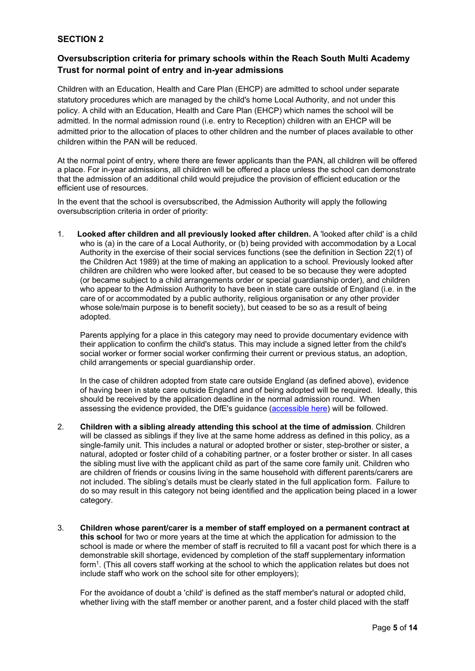### **SECTION 2**

## **Oversubscription criteria for primary schools within the Reach South Multi Academy Trust for normal point of entry and in-year admissions**

Children with an Education, Health and Care Plan (EHCP) are admitted to school under separate statutory procedures which are managed by the child's home Local Authority, and not under this policy. A child with an Education, Health and Care Plan (EHCP) which names the school will be admitted. In the normal admission round (i.e. entry to Reception) children with an EHCP will be admitted prior to the allocation of places to other children and the number of places available to other children within the PAN will be reduced.

At the normal point of entry, where there are fewer applicants than the PAN, all children will be offered a place. For in-year admissions, all children will be offered a place unless the school can demonstrate that the admission of an additional child would prejudice the provision of efficient education or the efficient use of resources.

In the event that the school is oversubscribed, the Admission Authority will apply the following oversubscription criteria in order of priority:

1. **Looked after children and all previously looked after children.** A 'looked after child' is a child who is (a) in the care of a Local Authority, or (b) being provided with accommodation by a Local Authority in the exercise of their social services functions (see the definition in Section 22(1) of the Children Act 1989) at the time of making an application to a school. Previously looked after children are children who were looked after, but ceased to be so because they were adopted (or became subject to a child arrangements order or special guardianship order), and children who appear to the Admission Authority to have been in state care outside of England (i.e. in the care of or accommodated by a public authority, religious organisation or any other provider whose sole/main purpose is to benefit society), but ceased to be so as a result of being adopted.

Parents applying for a place in this category may need to provide documentary evidence with their application to confirm the child's status. This may include a signed letter from the child's social worker or former social worker confirming their current or previous status, an adoption, child arrangements or special guardianship order.

In the case of children adopted from state care outside England (as defined above), evidence of having been in state care outside England and of being adopted will be required. Ideally, this should be received by the application deadline in the normal admission round. When assessing the evidence provided, the DfE's guidance [\(accessible here\)](about:blank) will be followed.

- 2. **Children with a sibling already attending this school at the time of admission**. Children will be classed as siblings if they live at the same home address as defined in this policy, as a single-family unit. This includes a natural or adopted brother or sister, step-brother or sister, a natural, adopted or foster child of a cohabiting partner, or a foster brother or sister. In all cases the sibling must live with the applicant child as part of the same core family unit. Children who are children of friends or cousins living in the same household with different parents/carers are not included. The sibling's details must be clearly stated in the full application form. Failure to do so may result in this category not being identified and the application being placed in a lower category.
- 3. **Children whose parent/carer is a member of staff employed on a permanent contract at this school** for two or more years at the time at which the application for admission to the school is made or where the member of staff is recruited to fill a vacant post for which there is a demonstrable skill shortage, evidenced by completion of the staff supplementary information form1. (This all covers staff working at the school to which the application relates but does not include staff who work on the school site for other employers);

For the avoidance of doubt a 'child' is defined as the staff member's natural or adopted child, whether living with the staff member or another parent, and a foster child placed with the staff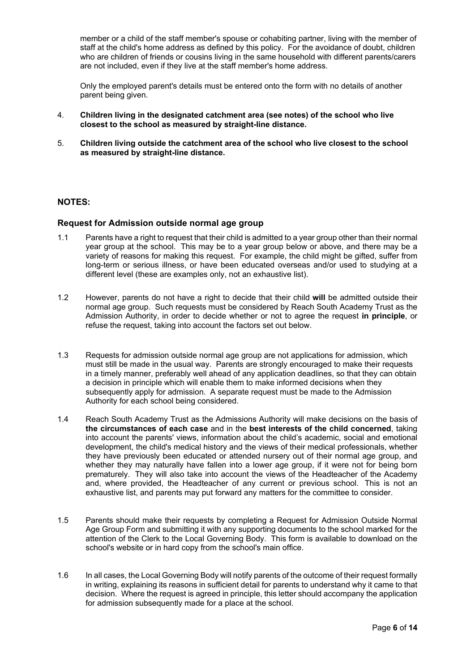member or a child of the staff member's spouse or cohabiting partner, living with the member of staff at the child's home address as defined by this policy. For the avoidance of doubt, children who are children of friends or cousins living in the same household with different parents/carers are not included, even if they live at the staff member's home address.

Only the employed parent's details must be entered onto the form with no details of another parent being given.

- 4. **Children living in the designated catchment area (see notes) of the school who live closest to the school as measured by straight-line distance.**
- 5. **Children living outside the catchment area of the school who live closest to the school as measured by straight-line distance.**

#### **NOTES:**

#### **Request for Admission outside normal age group**

- 1.1 Parents have a right to request that their child is admitted to a year group other than their normal year group at the school. This may be to a year group below or above, and there may be a variety of reasons for making this request. For example, the child might be gifted, suffer from long-term or serious illness, or have been educated overseas and/or used to studying at a different level (these are examples only, not an exhaustive list).
- 1.2 However, parents do not have a right to decide that their child **will** be admitted outside their normal age group. Such requests must be considered by Reach South Academy Trust as the Admission Authority, in order to decide whether or not to agree the request **in principle**, or refuse the request, taking into account the factors set out below.
- 1.3 Requests for admission outside normal age group are not applications for admission, which must still be made in the usual way. Parents are strongly encouraged to make their requests in a timely manner, preferably well ahead of any application deadlines, so that they can obtain a decision in principle which will enable them to make informed decisions when they subsequently apply for admission. A separate request must be made to the Admission Authority for each school being considered.
- 1.4 Reach South Academy Trust as the Admissions Authority will make decisions on the basis of **the circumstances of each case** and in the **best interests of the child concerned**, taking into account the parents' views, information about the child's academic, social and emotional development, the child's medical history and the views of their medical professionals, whether they have previously been educated or attended nursery out of their normal age group, and whether they may naturally have fallen into a lower age group, if it were not for being born prematurely. They will also take into account the views of the Headteacher of the Academy and, where provided, the Headteacher of any current or previous school. This is not an exhaustive list, and parents may put forward any matters for the committee to consider.
- 1.5 Parents should make their requests by completing a Request for Admission Outside Normal Age Group Form and submitting it with any supporting documents to the school marked for the attention of the Clerk to the Local Governing Body. This form is available to download on the school's website or in hard copy from the school's main office.
- 1.6 In all cases, the Local Governing Body will notify parents of the outcome of their request formally in writing, explaining its reasons in sufficient detail for parents to understand why it came to that decision. Where the request is agreed in principle, this letter should accompany the application for admission subsequently made for a place at the school.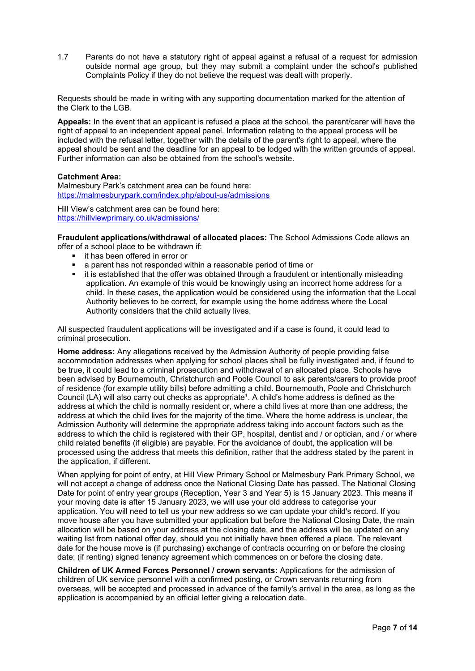1.7 Parents do not have a statutory right of appeal against a refusal of a request for admission outside normal age group, but they may submit a complaint under the school's published Complaints Policy if they do not believe the request was dealt with properly.

Requests should be made in writing with any supporting documentation marked for the attention of the Clerk to the LGB.

**Appeals:** In the event that an applicant is refused a place at the school, the parent/carer will have the right of appeal to an independent appeal panel. Information relating to the appeal process will be included with the refusal letter, together with the details of the parent's right to appeal, where the appeal should be sent and the deadline for an appeal to be lodged with the written grounds of appeal. Further information can also be obtained from the school's website.

#### **Catchment Area:**

Malmesbury Park's catchment area can be found here: <https://malmesburypark.com/index.php/about-us/admissions>

Hill View's catchment area can be found here: <https://hillviewprimary.co.uk/admissions/>

**Fraudulent applications/withdrawal of allocated places:** The School Admissions Code allows an offer of a school place to be withdrawn if:

- **it has been offered in error or**
- a parent has not responded within a reasonable period of time or
- **it is established that the offer was obtained through a fraudulent or intentionally misleading** application. An example of this would be knowingly using an incorrect home address for a child. In these cases, the application would be considered using the information that the Local Authority believes to be correct, for example using the home address where the Local Authority considers that the child actually lives.

All suspected fraudulent applications will be investigated and if a case is found, it could lead to criminal prosecution.

**Home address:** Any allegations received by the Admission Authority of people providing false accommodation addresses when applying for school places shall be fully investigated and, if found to be true, it could lead to a criminal prosecution and withdrawal of an allocated place. Schools have been advised by Bournemouth, Christchurch and Poole Council to ask parents/carers to provide proof of residence (for example utility bills) before admitting a child. Bournemouth, Poole and Christchurch Council (LA) will also carry out checks as appropriate<sup>1</sup>. A child's home address is defined as the address at which the child is normally resident or, where a child lives at more than one address, the address at which the child lives for the majority of the time. Where the home address is unclear, the Admission Authority will determine the appropriate address taking into account factors such as the address to which the child is registered with their GP, hospital, dentist and / or optician, and / or where child related benefits (if eligible) are payable. For the avoidance of doubt, the application will be processed using the address that meets this definition, rather that the address stated by the parent in the application, if different.

When applying for point of entry, at Hill View Primary School or Malmesbury Park Primary School, we will not accept a change of address once the National Closing Date has passed. The National Closing Date for point of entry year groups (Reception, Year 3 and Year 5) is 15 January 2023. This means if your moving date is after 15 January 2023, we will use your old address to categorise your application. You will need to tell us your new address so we can update your child's record. If you move house after you have submitted your application but before the National Closing Date, the main allocation will be based on your address at the closing date, and the address will be updated on any waiting list from national offer day, should you not initially have been offered a place. The relevant date for the house move is (if purchasing) exchange of contracts occurring on or before the closing date; (if renting) signed tenancy agreement which commences on or before the closing date.

**Children of UK Armed Forces Personnel / crown servants:** Applications for the admission of children of UK service personnel with a confirmed posting, or Crown servants returning from overseas, will be accepted and processed in advance of the family's arrival in the area, as long as the application is accompanied by an official letter giving a relocation date.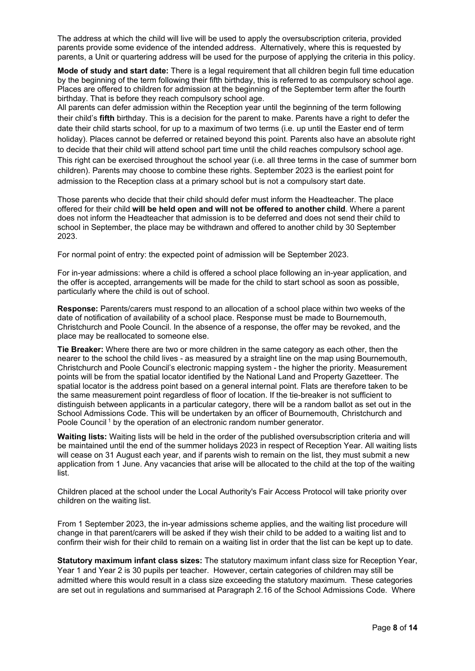The address at which the child will live will be used to apply the oversubscription criteria, provided parents provide some evidence of the intended address. Alternatively, where this is requested by parents, a Unit or quartering address will be used for the purpose of applying the criteria in this policy.

**Mode of study and start date:** There is a legal requirement that all children begin full time education by the beginning of the term following their fifth birthday, this is referred to as compulsory school age. Places are offered to children for admission at the beginning of the September term after the fourth birthday. That is before they reach compulsory school age.

All parents can defer admission within the Reception year until the beginning of the term following their child's **fifth** birthday. This is a decision for the parent to make. Parents have a right to defer the date their child starts school, for up to a maximum of two terms (i.e. up until the Easter end of term holiday). Places cannot be deferred or retained beyond this point. Parents also have an absolute right to decide that their child will attend school part time until the child reaches compulsory school age. This right can be exercised throughout the school year (i.e. all three terms in the case of summer born children). Parents may choose to combine these rights. September 2023 is the earliest point for admission to the Reception class at a primary school but is not a compulsory start date.

Those parents who decide that their child should defer must inform the Headteacher. The place offered for their child **will be held open and will not be offered to another child**. Where a parent does not inform the Headteacher that admission is to be deferred and does not send their child to school in September, the place may be withdrawn and offered to another child by 30 September 2023.

For normal point of entry: the expected point of admission will be September 2023.

For in-year admissions: where a child is offered a school place following an in-year application, and the offer is accepted, arrangements will be made for the child to start school as soon as possible, particularly where the child is out of school.

**Response:** Parents/carers must respond to an allocation of a school place within two weeks of the date of notification of availability of a school place. Response must be made to Bournemouth, Christchurch and Poole Council. In the absence of a response, the offer may be revoked, and the place may be reallocated to someone else.

**Tie Breaker:** Where there are two or more children in the same category as each other, then the nearer to the school the child lives - as measured by a straight line on the map using Bournemouth, Christchurch and Poole Council's electronic mapping system - the higher the priority. Measurement points will be from the spatial locator identified by the National Land and Property Gazetteer. The spatial locator is the address point based on a general internal point. Flats are therefore taken to be the same measurement point regardless of floor of location. If the tie-breaker is not sufficient to distinguish between applicants in a particular category, there will be a random ballot as set out in the School Admissions Code. This will be undertaken by an officer of Bournemouth, Christchurch and Poole Council<sup>1</sup> by the operation of an electronic random number generator.

**Waiting lists:** Waiting lists will be held in the order of the published oversubscription criteria and will be maintained until the end of the summer holidays 2023 in respect of Reception Year. All waiting lists will cease on 31 August each year, and if parents wish to remain on the list, they must submit a new application from 1 June. Any vacancies that arise will be allocated to the child at the top of the waiting list.

Children placed at the school under the Local Authority's Fair Access Protocol will take priority over children on the waiting list.

From 1 September 2023, the in-year admissions scheme applies, and the waiting list procedure will change in that parent/carers will be asked if they wish their child to be added to a waiting list and to confirm their wish for their child to remain on a waiting list in order that the list can be kept up to date.

**Statutory maximum infant class sizes:** The statutory maximum infant class size for Reception Year, Year 1 and Year 2 is 30 pupils per teacher. However, certain categories of children may still be admitted where this would result in a class size exceeding the statutory maximum. These categories are set out in regulations and summarised at Paragraph 2.16 of the School Admissions Code. Where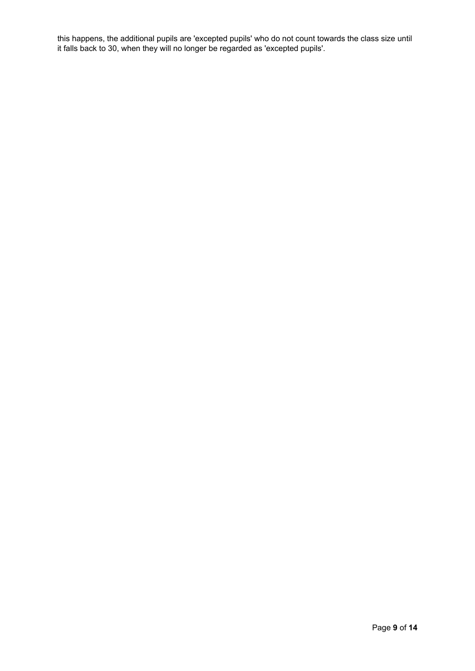this happens, the additional pupils are 'excepted pupils' who do not count towards the class size until it falls back to 30, when they will no longer be regarded as 'excepted pupils'.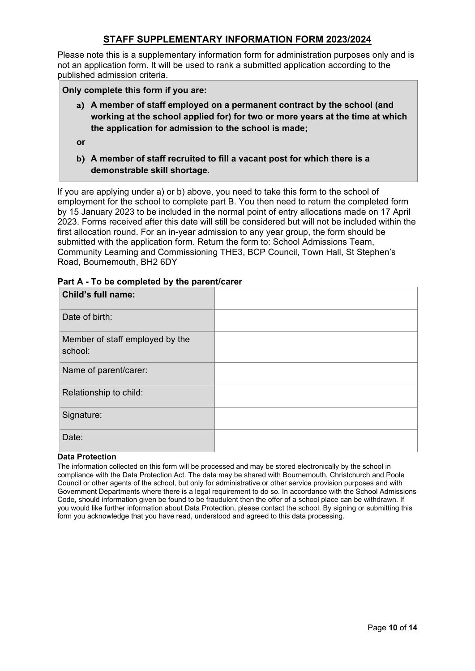# **STAFF SUPPLEMENTARY INFORMATION FORM 2023/2024**

Please note this is a supplementary information form for administration purposes only and is not an application form. It will be used to rank a submitted application according to the published admission criteria.

### **Only complete this form if you are:**

- **a) A member of staff employed on a permanent contract by the school (and working at the school applied for) for two or more years at the time at which the application for admission to the school is made;**
- **or**
- **b) A member of staff recruited to fill a vacant post for which there is a demonstrable skill shortage.**

If you are applying under a) or b) above, you need to take this form to the school of employment for the school to complete part B. You then need to return the completed form by 15 January 2023 to be included in the normal point of entry allocations made on 17 April 2023. Forms received after this date will still be considered but will not be included within the first allocation round. For an in-year admission to any year group, the form should be submitted with the application form. Return the form to: School Admissions Team, Community Learning and Commissioning THE3, BCP Council, Town Hall, St Stephen's Road, Bournemouth, BH2 6DY

| <b>Child's full name:</b>                  |  |
|--------------------------------------------|--|
| Date of birth:                             |  |
| Member of staff employed by the<br>school: |  |
| Name of parent/carer:                      |  |
| Relationship to child:                     |  |
| Signature:                                 |  |
| Date:                                      |  |

#### **Part A - To be completed by the parent/carer**

#### **Data Protection**

The information collected on this form will be processed and may be stored electronically by the school in compliance with the Data Protection Act. The data may be shared with Bournemouth, Christchurch and Poole Council or other agents of the school, but only for administrative or other service provision purposes and with Government Departments where there is a legal requirement to do so. In accordance with the School Admissions Code, should information given be found to be fraudulent then the offer of a school place can be withdrawn. If you would like further information about Data Protection, please contact the school. By signing or submitting this form you acknowledge that you have read, understood and agreed to this data processing.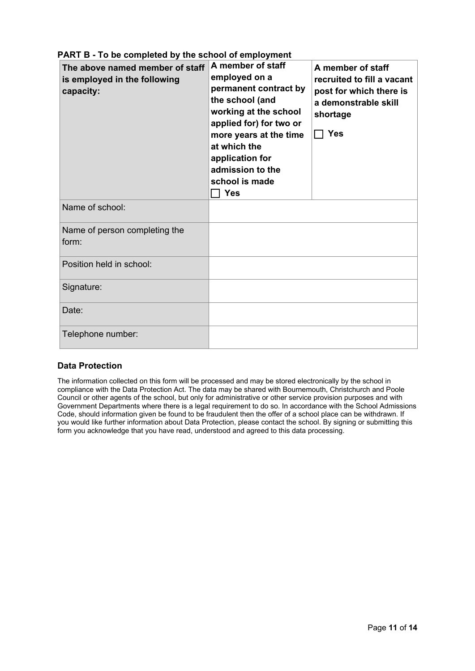| The above named member of staff<br>is employed in the following<br>capacity: | A member of staff<br>employed on a<br>permanent contract by<br>the school (and<br>working at the school<br>applied for) for two or<br>more years at the time<br>at which the<br>application for<br>admission to the<br>school is made<br><b>Yes</b> | A member of staff<br>recruited to fill a vacant<br>post for which there is<br>a demonstrable skill<br>shortage<br>$\Box$ Yes |
|------------------------------------------------------------------------------|-----------------------------------------------------------------------------------------------------------------------------------------------------------------------------------------------------------------------------------------------------|------------------------------------------------------------------------------------------------------------------------------|
| Name of school:                                                              |                                                                                                                                                                                                                                                     |                                                                                                                              |
| Name of person completing the<br>form:                                       |                                                                                                                                                                                                                                                     |                                                                                                                              |
| Position held in school:                                                     |                                                                                                                                                                                                                                                     |                                                                                                                              |
| Signature:                                                                   |                                                                                                                                                                                                                                                     |                                                                                                                              |
| Date:                                                                        |                                                                                                                                                                                                                                                     |                                                                                                                              |
| Telephone number:                                                            |                                                                                                                                                                                                                                                     |                                                                                                                              |

# **PART B - To be completed by the school of employment**

## **Data Protection**

The information collected on this form will be processed and may be stored electronically by the school in compliance with the Data Protection Act. The data may be shared with Bournemouth, Christchurch and Poole Council or other agents of the school, but only for administrative or other service provision purposes and with Government Departments where there is a legal requirement to do so. In accordance with the School Admissions Code, should information given be found to be fraudulent then the offer of a school place can be withdrawn. If you would like further information about Data Protection, please contact the school. By signing or submitting this form you acknowledge that you have read, understood and agreed to this data processing.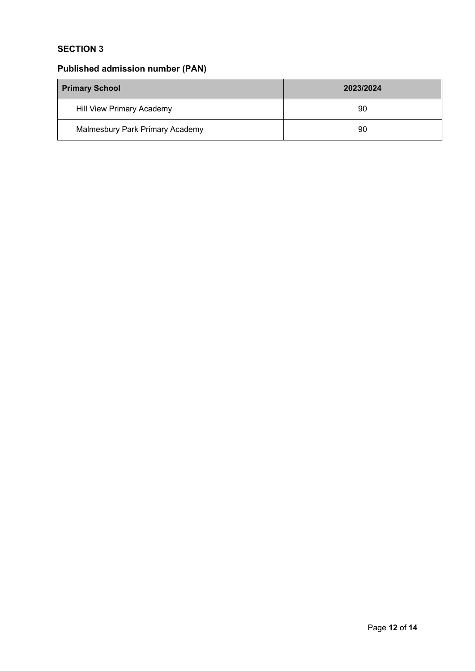# **SECTION 3**

# **Published admission number (PAN)**

| <b>Primary School</b>            | 2023/2024 |  |
|----------------------------------|-----------|--|
| <b>Hill View Primary Academy</b> | 90        |  |
| Malmesbury Park Primary Academy  | 90        |  |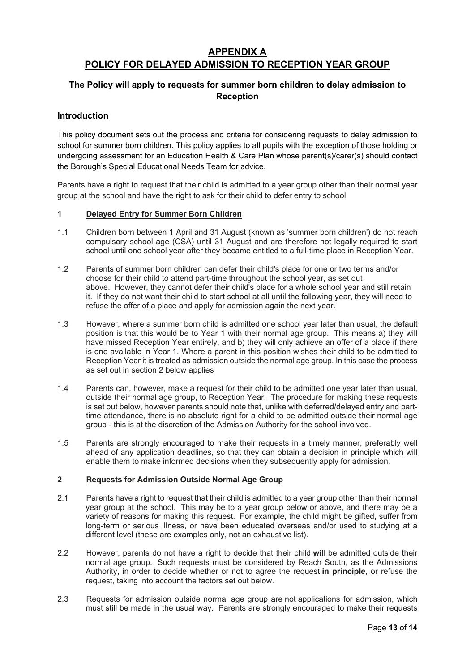# **APPENDIX A POLICY FOR DELAYED ADMISSION TO RECEPTION YEAR GROUP**

# **The Policy will apply to requests for summer born children to delay admission to Reception**

#### **Introduction**

This policy document sets out the process and criteria for considering requests to delay admission to school for summer born children. This policy applies to all pupils with the exception of those holding or undergoing assessment for an Education Health & Care Plan whose parent(s)/carer(s) should contact the Borough's Special Educational Needs Team for advice.

Parents have a right to request that their child is admitted to a year group other than their normal year group at the school and have the right to ask for their child to defer entry to school.

#### **1 Delayed Entry for Summer Born Children**

- 1.1 Children born between 1 April and 31 August (known as 'summer born children') do not reach compulsory school age (CSA) until 31 August and are therefore not legally required to start school until one school year after they became entitled to a full-time place in Reception Year.
- 1.2 Parents of summer born children can defer their child's place for one or two terms and/or choose for their child to attend part-time throughout the school year, as set out above. However, they cannot defer their child's place for a whole school year and still retain it. If they do not want their child to start school at all until the following year, they will need to refuse the offer of a place and apply for admission again the next year.
- 1.3 However, where a summer born child is admitted one school year later than usual, the default position is that this would be to Year 1 with their normal age group. This means a) they will have missed Reception Year entirely, and b) they will only achieve an offer of a place if there is one available in Year 1. Where a parent in this position wishes their child to be admitted to Reception Year it is treated as admission outside the normal age group. In this case the process as set out in section 2 below applies
- 1.4 Parents can, however, make a request for their child to be admitted one year later than usual, outside their normal age group, to Reception Year. The procedure for making these requests is set out below, however parents should note that, unlike with deferred/delayed entry and parttime attendance, there is no absolute right for a child to be admitted outside their normal age group - this is at the discretion of the Admission Authority for the school involved.
- 1.5 Parents are strongly encouraged to make their requests in a timely manner, preferably well ahead of any application deadlines, so that they can obtain a decision in principle which will enable them to make informed decisions when they subsequently apply for admission.

#### **2 Requests for Admission Outside Normal Age Group**

- 2.1 Parents have a right to request that their child is admitted to a year group other than their normal year group at the school. This may be to a year group below or above, and there may be a variety of reasons for making this request. For example, the child might be gifted, suffer from long-term or serious illness, or have been educated overseas and/or used to studying at a different level (these are examples only, not an exhaustive list).
- 2.2 However, parents do not have a right to decide that their child **will** be admitted outside their normal age group. Such requests must be considered by Reach South, as the Admissions Authority, in order to decide whether or not to agree the request **in principle**, or refuse the request, taking into account the factors set out below.
- 2.3 Requests for admission outside normal age group are not applications for admission, which must still be made in the usual way. Parents are strongly encouraged to make their requests